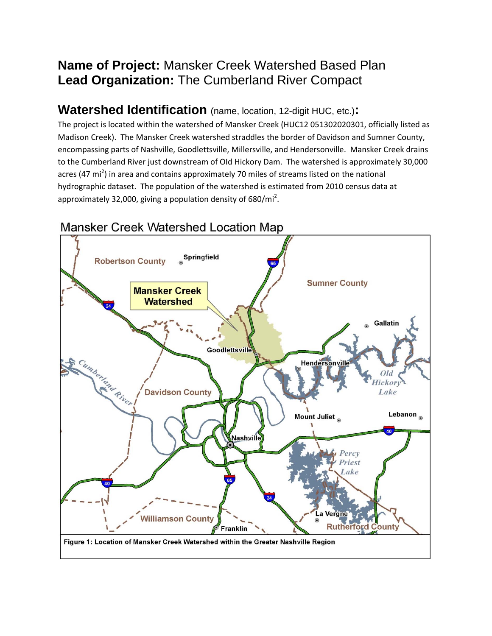## **Name of Project:** Mansker Creek Watershed Based Plan **Lead Organization:** The Cumberland River Compact

#### **Watershed Identification** (name, location, 12-digit HUC, etc.)**:**

The project is located within the watershed of Mansker Creek (HUC12 051302020301, officially listed as Madison Creek). The Mansker Creek watershed straddles the border of Davidson and Sumner County, encompassing parts of Nashville, Goodlettsville, Millersville, and Hendersonville. Mansker Creek drains to the Cumberland River just downstream of OId Hickory Dam. The watershed is approximately 30,000 acres (47 mi<sup>2</sup>) in area and contains approximately 70 miles of streams listed on the national hydrographic dataset. The population of the watershed is estimated from 2010 census data at approximately 32,000, giving a population density of 680/mi<sup>2</sup>.



#### Mansker Creek Watershed Location Map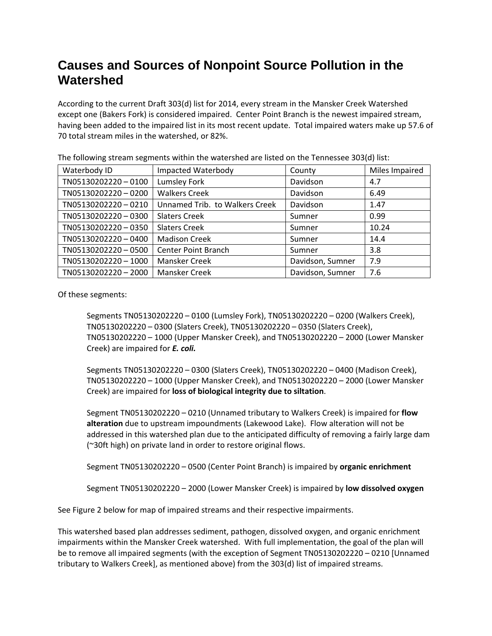## **Causes and Sources of Nonpoint Source Pollution in the Watershed**

According to the current Draft 303(d) list for 2014, every stream in the Mansker Creek Watershed except one (Bakers Fork) is considered impaired. Center Point Branch is the newest impaired stream, having been added to the impaired list in its most recent update. Total impaired waters make up 57.6 of 70 total stream miles in the watershed, or 82%.

| $\frac{1}{2}$ . The following stream segments within the watershea are noted on the remitssee sosparistic |                                |                  |                |  |
|-----------------------------------------------------------------------------------------------------------|--------------------------------|------------------|----------------|--|
| Waterbody ID                                                                                              | Impacted Waterbody             | County           | Miles Impaired |  |
| TN05130202220-0100                                                                                        | Lumsley Fork                   | Davidson         | 4.7            |  |
| TN05130202220-0200                                                                                        | <b>Walkers Creek</b>           | Davidson         | 6.49           |  |
| TN05130202220-0210                                                                                        | Unnamed Trib. to Walkers Creek | Davidson         | 1.47           |  |
| TN05130202220-0300                                                                                        | <b>Slaters Creek</b>           | Sumner           | 0.99           |  |
| TN05130202220-0350                                                                                        | <b>Slaters Creek</b>           | Sumner           | 10.24          |  |
| TN05130202220-0400                                                                                        | <b>Madison Creek</b>           | Sumner           | 14.4           |  |
| TN05130202220-0500                                                                                        | <b>Center Point Branch</b>     | Sumner           | 3.8            |  |
| TN05130202220-1000                                                                                        | Mansker Creek                  | Davidson, Sumner | 7.9            |  |
| TN05130202220-2000                                                                                        | Mansker Creek                  | Davidson, Sumner | 7.6            |  |

The following stream segments within the watershed are listed on the Tennessee 303(d) list:

Of these segments:

Segments TN05130202220 – 0100 (Lumsley Fork), TN05130202220 – 0200 (Walkers Creek), TN05130202220 – 0300 (Slaters Creek), TN05130202220 – 0350 (Slaters Creek), TN05130202220 – 1000 (Upper Mansker Creek), and TN05130202220 – 2000 (Lower Mansker Creek) are impaired for *E. coli.*

Segments TN05130202220 – 0300 (Slaters Creek), TN05130202220 – 0400 (Madison Creek), TN05130202220 – 1000 (Upper Mansker Creek), and TN05130202220 – 2000 (Lower Mansker Creek) are impaired for **loss of biological integrity due to siltation**.

Segment TN05130202220 – 0210 (Unnamed tributary to Walkers Creek) is impaired for **flow alteration** due to upstream impoundments (Lakewood Lake). Flow alteration will not be addressed in this watershed plan due to the anticipated difficulty of removing a fairly large dam (~30ft high) on private land in order to restore original flows.

Segment TN05130202220 – 0500 (Center Point Branch) is impaired by **organic enrichment**

Segment TN05130202220 – 2000 (Lower Mansker Creek) is impaired by **low dissolved oxygen**

See Figure 2 below for map of impaired streams and their respective impairments.

This watershed based plan addresses sediment, pathogen, dissolved oxygen, and organic enrichment impairments within the Mansker Creek watershed. With full implementation, the goal of the plan will be to remove all impaired segments (with the exception of Segment TN05130202220 – 0210 [Unnamed tributary to Walkers Creek], as mentioned above) from the 303(d) list of impaired streams.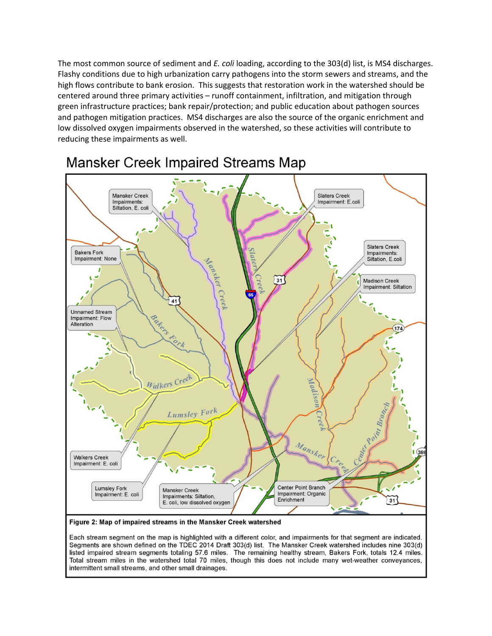The most common source of sediment and *E. coli* loading, according to the 303(d) list, is MS4 discharges. Flashy conditions due to high urbanization carry pathogens into the storm sewers and streams, and the high flows contribute to bank erosion. This suggests that restoration work in the watershed should be centered around three primary activities – runoff containment, infiltration, and mitigation through green infrastructure practices; bank repair/protection; and public education about pathogen sources and pathogen mitigation practices. MS4 discharges are also the source of the organic enrichment and low dissolved oxygen impairments observed in the watershed, so these activities will contribute to reducing these impairments as well.



## **Mansker Creek Impaired Streams Map**

Each stream segment on the map is highlighted with a different color, and impairments for that segment are indicated. Segments are shown defined on the TDEC 2014 Draft 303(d) list. The Mansker Creek watershed includes nine 303(d) listed impaired stream segments totaling 57.6 miles. The remaining healthy stream, Bakers Fork, totals 12.4 miles. Total stream miles in the watershed total 70 miles, though this does not include many wet-weather conveyances, intermittent small streams, and other small drainages.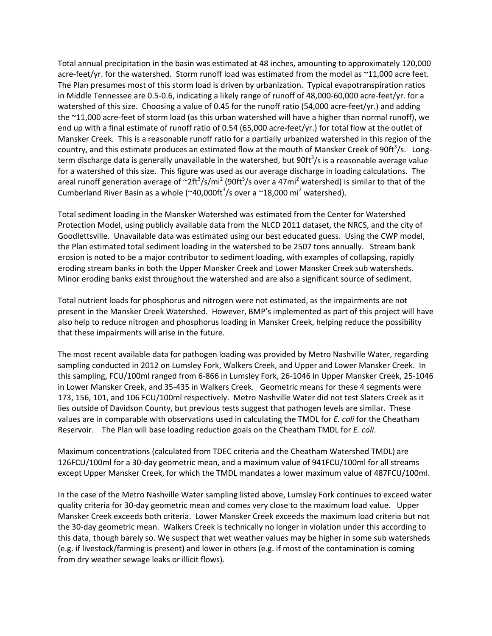Total annual precipitation in the basin was estimated at 48 inches, amounting to approximately 120,000 acre-feet/yr. for the watershed. Storm runoff load was estimated from the model as ~11,000 acre feet. The Plan presumes most of this storm load is driven by urbanization. Typical evapotranspiration ratios in Middle Tennessee are 0.5‐0.6, indicating a likely range of runoff of 48,000‐60,000 acre‐feet/yr. for a watershed of this size. Choosing a value of 0.45 for the runoff ratio (54,000 acre-feet/yr.) and adding the ~11,000 acre‐feet of storm load (as this urban watershed will have a higher than normal runoff), we end up with a final estimate of runoff ratio of 0.54 (65,000 acre-feet/yr.) for total flow at the outlet of Mansker Creek. This is a reasonable runoff ratio for a partially urbanized watershed in this region of the country, and this estimate produces an estimated flow at the mouth of Mansker Creek of 90ft<sup>3</sup>/s. Longterm discharge data is generally unavailable in the watershed, but 90ft<sup>3</sup>/s is a reasonable average value for a watershed of this size. This figure was used as our average discharge in loading calculations. The areal runoff generation average of  $\sim$ 2ft<sup>3</sup>/s/mi<sup>2</sup> (90ft<sup>3</sup>/s over a 47mi<sup>2</sup> watershed) is similar to that of the Cumberland River Basin as a whole ( $\sim$ 40,000ft<sup>3</sup>/s over a  $\sim$ 18,000 mi<sup>2</sup> watershed).

Total sediment loading in the Mansker Watershed was estimated from the Center for Watershed Protection Model, using publicly available data from the NLCD 2011 dataset, the NRCS, and the city of Goodlettsville. Unavailable data was estimated using our best educated guess. Using the CWP model, the Plan estimated total sediment loading in the watershed to be 2507 tons annually. Stream bank erosion is noted to be a major contributor to sediment loading, with examples of collapsing, rapidly eroding stream banks in both the Upper Mansker Creek and Lower Mansker Creek sub watersheds. Minor eroding banks exist throughout the watershed and are also a significant source of sediment.

Total nutrient loads for phosphorus and nitrogen were not estimated, as the impairments are not present in the Mansker Creek Watershed. However, BMP's implemented as part of this project will have also help to reduce nitrogen and phosphorus loading in Mansker Creek, helping reduce the possibility that these impairments will arise in the future.

The most recent available data for pathogen loading was provided by Metro Nashville Water, regarding sampling conducted in 2012 on Lumsley Fork, Walkers Creek, and Upper and Lower Mansker Creek. In this sampling, FCU/100ml ranged from 6‐866 in Lumsley Fork, 26‐1046 in Upper Mansker Creek, 25‐1046 in Lower Mansker Creek, and 35‐435 in Walkers Creek. Geometric means for these 4 segments were 173, 156, 101, and 106 FCU/100ml respectively. Metro Nashville Water did not test Slaters Creek as it lies outside of Davidson County, but previous tests suggest that pathogen levels are similar. These values are in comparable with observations used in calculating the TMDL for *E. coli* for the Cheatham Reservoir. The Plan will base loading reduction goals on the Cheatham TMDL for *E. coli*.

Maximum concentrations (calculated from TDEC criteria and the Cheatham Watershed TMDL) are 126FCU/100ml for a 30‐day geometric mean, and a maximum value of 941FCU/100ml for all streams except Upper Mansker Creek, for which the TMDL mandates a lower maximum value of 487FCU/100ml.

In the case of the Metro Nashville Water sampling listed above, Lumsley Fork continues to exceed water quality criteria for 30‐day geometric mean and comes very close to the maximum load value. Upper Mansker Creek exceeds both criteria. Lower Mansker Creek exceeds the maximum load criteria but not the 30‐day geometric mean. Walkers Creek is technically no longer in violation under this according to this data, though barely so. We suspect that wet weather values may be higher in some sub watersheds (e.g. if livestock/farming is present) and lower in others (e.g. if most of the contamination is coming from dry weather sewage leaks or illicit flows).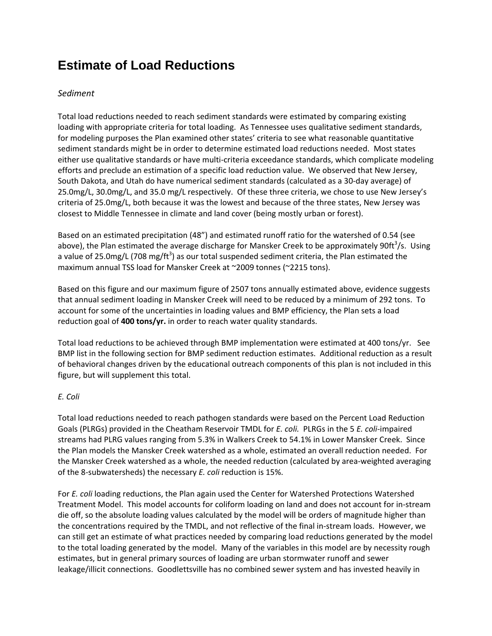# **Estimate of Load Reductions**

#### *Sediment*

Total load reductions needed to reach sediment standards were estimated by comparing existing loading with appropriate criteria for total loading. As Tennessee uses qualitative sediment standards, for modeling purposes the Plan examined other states' criteria to see what reasonable quantitative sediment standards might be in order to determine estimated load reductions needed. Most states either use qualitative standards or have multi‐criteria exceedance standards, which complicate modeling efforts and preclude an estimation of a specific load reduction value. We observed that New Jersey, South Dakota, and Utah do have numerical sediment standards (calculated as a 30‐day average) of 25.0mg/L, 30.0mg/L, and 35.0 mg/L respectively. Of these three criteria, we chose to use New Jersey's criteria of 25.0mg/L, both because it was the lowest and because of the three states, New Jersey was closest to Middle Tennessee in climate and land cover (being mostly urban or forest).

Based on an estimated precipitation (48") and estimated runoff ratio for the watershed of 0.54 (see above), the Plan estimated the average discharge for Mansker Creek to be approximately 90ft<sup>3</sup>/s. Using a value of 25.0mg/L (708 mg/ft<sup>3</sup>) as our total suspended sediment criteria, the Plan estimated the maximum annual TSS load for Mansker Creek at ~2009 tonnes (~2215 tons).

Based on this figure and our maximum figure of 2507 tons annually estimated above, evidence suggests that annual sediment loading in Mansker Creek will need to be reduced by a minimum of 292 tons. To account for some of the uncertainties in loading values and BMP efficiency, the Plan sets a load reduction goal of **400 tons/yr.** in order to reach water quality standards.

Total load reductions to be achieved through BMP implementation were estimated at 400 tons/yr. See BMP list in the following section for BMP sediment reduction estimates. Additional reduction as a result of behavioral changes driven by the educational outreach components of this plan is not included in this figure, but will supplement this total.

#### *E. Coli*

Total load reductions needed to reach pathogen standards were based on the Percent Load Reduction Goals (PLRGs) provided in the Cheatham Reservoir TMDL for *E. coli.* PLRGs in the 5 *E. coli*‐impaired streams had PLRG values ranging from 5.3% in Walkers Creek to 54.1% in Lower Mansker Creek. Since the Plan models the Mansker Creek watershed as a whole, estimated an overall reduction needed. For the Mansker Creek watershed as a whole, the needed reduction (calculated by area‐weighted averaging of the 8‐subwatersheds) the necessary *E. coli* reduction is 15%.

For *E. coli* loading reductions, the Plan again used the Center for Watershed Protections Watershed Treatment Model. This model accounts for coliform loading on land and does not account for in‐stream die off, so the absolute loading values calculated by the model will be orders of magnitude higher than the concentrations required by the TMDL, and not reflective of the final in‐stream loads. However, we can still get an estimate of what practices needed by comparing load reductions generated by the model to the total loading generated by the model. Many of the variables in this model are by necessity rough estimates, but in general primary sources of loading are urban stormwater runoff and sewer leakage/illicit connections. Goodlettsville has no combined sewer system and has invested heavily in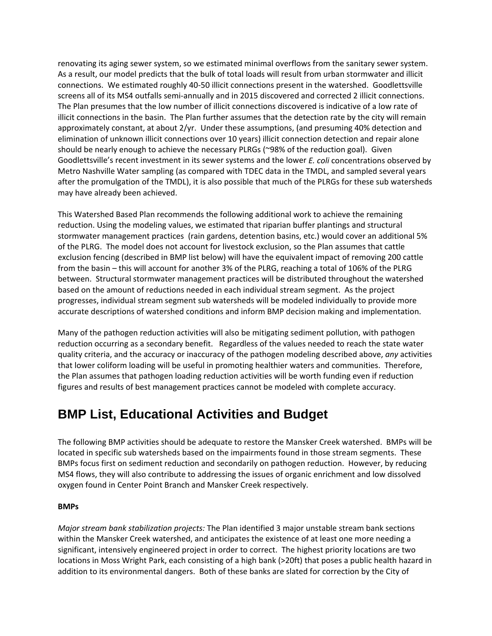renovating its aging sewer system, so we estimated minimal overflows from the sanitary sewer system. As a result, our model predicts that the bulk of total loads will result from urban stormwater and illicit connections. We estimated roughly 40‐50 illicit connections present in the watershed. Goodlettsville screens all of its MS4 outfalls semi‐annually and in 2015 discovered and corrected 2 illicit connections. The Plan presumes that the low number of illicit connections discovered is indicative of a low rate of illicit connections in the basin. The Plan further assumes that the detection rate by the city will remain approximately constant, at about 2/yr. Under these assumptions, (and presuming 40% detection and elimination of unknown illicit connections over 10 years) illicit connection detection and repair alone should be nearly enough to achieve the necessary PLRGs (~98% of the reduction goal). Given Goodlettsville's recent investment in its sewer systems and the lower *E. coli* concentrations observed by Metro Nashville Water sampling (as compared with TDEC data in the TMDL, and sampled several years after the promulgation of the TMDL), it is also possible that much of the PLRGs for these sub watersheds may have already been achieved.

This Watershed Based Plan recommends the following additional work to achieve the remaining reduction. Using the modeling values, we estimated that riparian buffer plantings and structural stormwater management practices (rain gardens, detention basins, etc.) would cover an additional 5% of the PLRG. The model does not account for livestock exclusion, so the Plan assumes that cattle exclusion fencing (described in BMP list below) will have the equivalent impact of removing 200 cattle from the basin – this will account for another 3% of the PLRG, reaching a total of 106% of the PLRG between. Structural stormwater management practices will be distributed throughout the watershed based on the amount of reductions needed in each individual stream segment. As the project progresses, individual stream segment sub watersheds will be modeled individually to provide more accurate descriptions of watershed conditions and inform BMP decision making and implementation.

Many of the pathogen reduction activities will also be mitigating sediment pollution, with pathogen reduction occurring as a secondary benefit. Regardless of the values needed to reach the state water quality criteria, and the accuracy or inaccuracy of the pathogen modeling described above, *any* activities that lower coliform loading will be useful in promoting healthier waters and communities. Therefore, the Plan assumes that pathogen loading reduction activities will be worth funding even if reduction figures and results of best management practices cannot be modeled with complete accuracy.

#### **BMP List, Educational Activities and Budget**

The following BMP activities should be adequate to restore the Mansker Creek watershed. BMPs will be located in specific sub watersheds based on the impairments found in those stream segments. These BMPs focus first on sediment reduction and secondarily on pathogen reduction. However, by reducing MS4 flows, they will also contribute to addressing the issues of organic enrichment and low dissolved oxygen found in Center Point Branch and Mansker Creek respectively.

#### **BMPs**

*Major stream bank stabilization projects:* The Plan identified 3 major unstable stream bank sections within the Mansker Creek watershed, and anticipates the existence of at least one more needing a significant, intensively engineered project in order to correct. The highest priority locations are two locations in Moss Wright Park, each consisting of a high bank (>20ft) that poses a public health hazard in addition to its environmental dangers. Both of these banks are slated for correction by the City of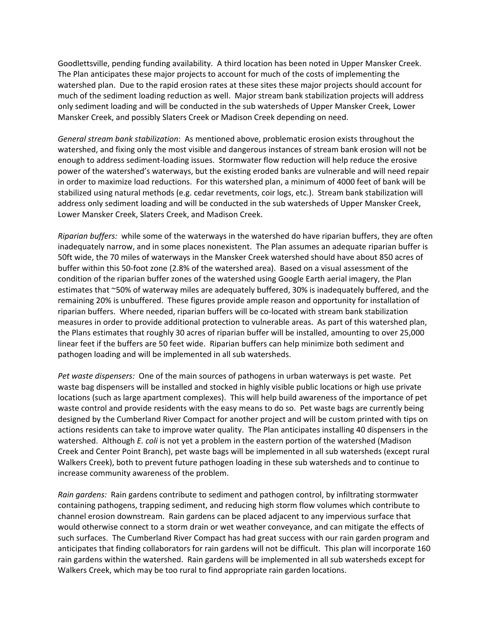Goodlettsville, pending funding availability. A third location has been noted in Upper Mansker Creek. The Plan anticipates these major projects to account for much of the costs of implementing the watershed plan. Due to the rapid erosion rates at these sites these major projects should account for much of the sediment loading reduction as well. Major stream bank stabilization projects will address only sediment loading and will be conducted in the sub watersheds of Upper Mansker Creek, Lower Mansker Creek, and possibly Slaters Creek or Madison Creek depending on need.

*General stream bank stabilization*: As mentioned above, problematic erosion exists throughout the watershed, and fixing only the most visible and dangerous instances of stream bank erosion will not be enough to address sediment‐loading issues. Stormwater flow reduction will help reduce the erosive power of the watershed's waterways, but the existing eroded banks are vulnerable and will need repair in order to maximize load reductions. For this watershed plan, a minimum of 4000 feet of bank will be stabilized using natural methods (e.g. cedar revetments, coir logs, etc.). Stream bank stabilization will address only sediment loading and will be conducted in the sub watersheds of Upper Mansker Creek, Lower Mansker Creek, Slaters Creek, and Madison Creek.

*Riparian buffers:* while some of the waterways in the watershed do have riparian buffers, they are often inadequately narrow, and in some places nonexistent. The Plan assumes an adequate riparian buffer is 50ft wide, the 70 miles of waterways in the Mansker Creek watershed should have about 850 acres of buffer within this 50‐foot zone (2.8% of the watershed area). Based on a visual assessment of the condition of the riparian buffer zones of the watershed using Google Earth aerial imagery, the Plan estimates that ~50% of waterway miles are adequately buffered, 30% is inadequately buffered, and the remaining 20% is unbuffered. These figures provide ample reason and opportunity for installation of riparian buffers. Where needed, riparian buffers will be co‐located with stream bank stabilization measures in order to provide additional protection to vulnerable areas. As part of this watershed plan, the Plans estimates that roughly 30 acres of riparian buffer will be installed, amounting to over 25,000 linear feet if the buffers are 50 feet wide. Riparian buffers can help minimize both sediment and pathogen loading and will be implemented in all sub watersheds.

*Pet waste dispensers:* One of the main sources of pathogens in urban waterways is pet waste. Pet waste bag dispensers will be installed and stocked in highly visible public locations or high use private locations (such as large apartment complexes). This will help build awareness of the importance of pet waste control and provide residents with the easy means to do so. Pet waste bags are currently being designed by the Cumberland River Compact for another project and will be custom printed with tips on actions residents can take to improve water quality. The Plan anticipates installing 40 dispensers in the watershed. Although *E. coli* is not yet a problem in the eastern portion of the watershed (Madison Creek and Center Point Branch), pet waste bags will be implemented in all sub watersheds (except rural Walkers Creek), both to prevent future pathogen loading in these sub watersheds and to continue to increase community awareness of the problem.

*Rain gardens:* Rain gardens contribute to sediment and pathogen control, by infiltrating stormwater containing pathogens, trapping sediment, and reducing high storm flow volumes which contribute to channel erosion downstream. Rain gardens can be placed adjacent to any impervious surface that would otherwise connect to a storm drain or wet weather conveyance, and can mitigate the effects of such surfaces. The Cumberland River Compact has had great success with our rain garden program and anticipates that finding collaborators for rain gardens will not be difficult. This plan will incorporate 160 rain gardens within the watershed. Rain gardens will be implemented in all sub watersheds except for Walkers Creek, which may be too rural to find appropriate rain garden locations.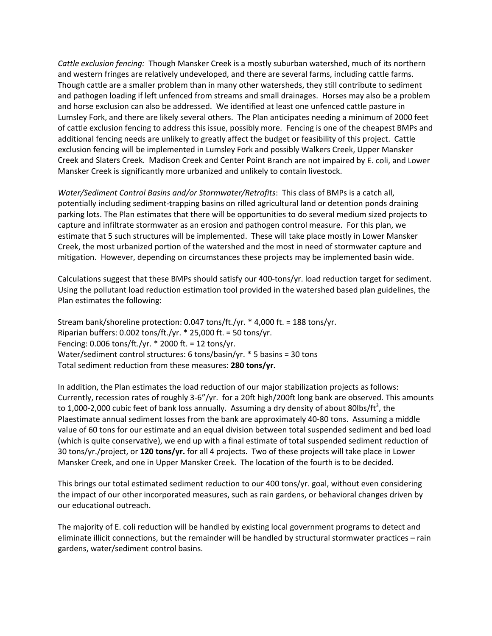*Cattle exclusion fencing:* Though Mansker Creek is a mostly suburban watershed, much of its northern and western fringes are relatively undeveloped, and there are several farms, including cattle farms. Though cattle are a smaller problem than in many other watersheds, they still contribute to sediment and pathogen loading if left unfenced from streams and small drainages. Horses may also be a problem and horse exclusion can also be addressed. We identified at least one unfenced cattle pasture in Lumsley Fork, and there are likely several others. The Plan anticipates needing a minimum of 2000 feet of cattle exclusion fencing to address this issue, possibly more. Fencing is one of the cheapest BMPs and additional fencing needs are unlikely to greatly affect the budget or feasibility of this project. Cattle exclusion fencing will be implemented in Lumsley Fork and possibly Walkers Creek, Upper Mansker Creek and Slaters Creek. Madison Creek and Center Point Branch are not impaired by E. coli, and Lower Mansker Creek is significantly more urbanized and unlikely to contain livestock.

*Water/Sediment Control Basins and/or Stormwater/Retrofits*: This class of BMPs is a catch all, potentially including sediment‐trapping basins on rilled agricultural land or detention ponds draining parking lots. The Plan estimates that there will be opportunities to do several medium sized projects to capture and infiltrate stormwater as an erosion and pathogen control measure. For this plan, we estimate that 5 such structures will be implemented. These will take place mostly in Lower Mansker Creek, the most urbanized portion of the watershed and the most in need of stormwater capture and mitigation. However, depending on circumstances these projects may be implemented basin wide.

Calculations suggest that these BMPs should satisfy our 400‐tons/yr. load reduction target for sediment. Using the pollutant load reduction estimation tool provided in the watershed based plan guidelines, the Plan estimates the following:

Stream bank/shoreline protection: 0.047 tons/ft./yr. \* 4,000 ft. = 188 tons/yr. Riparian buffers: 0.002 tons/ft./yr. \* 25,000 ft. = 50 tons/yr. Fencing: 0.006 tons/ft./yr. \* 2000 ft. = 12 tons/yr. Water/sediment control structures: 6 tons/basin/yr. \* 5 basins = 30 tons Total sediment reduction from these measures: **280 tons/yr.**

In addition, the Plan estimates the load reduction of our major stabilization projects as follows: Currently, recession rates of roughly 3‐6"/yr. for a 20ft high/200ft long bank are observed. This amounts to 1,000-2,000 cubic feet of bank loss annually. Assuming a dry density of about 80lbs/ft<sup>3</sup>, the Plaestimate annual sediment losses from the bank are approximately 40‐80 tons. Assuming a middle value of 60 tons for our estimate and an equal division between total suspended sediment and bed load (which is quite conservative), we end up with a final estimate of total suspended sediment reduction of 30 tons/yr./project, or **120 tons/yr.** for all 4 projects. Two of these projects will take place in Lower Mansker Creek, and one in Upper Mansker Creek. The location of the fourth is to be decided.

This brings our total estimated sediment reduction to our 400 tons/yr. goal, without even considering the impact of our other incorporated measures, such as rain gardens, or behavioral changes driven by our educational outreach.

The majority of E. coli reduction will be handled by existing local government programs to detect and eliminate illicit connections, but the remainder will be handled by structural stormwater practices – rain gardens, water/sediment control basins.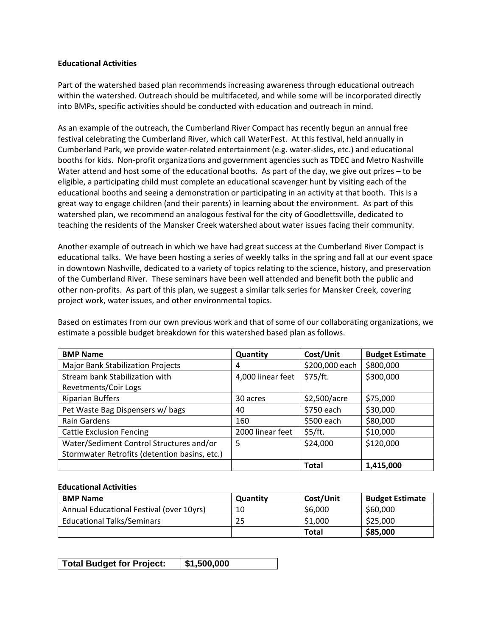#### **Educational Activities**

Part of the watershed based plan recommends increasing awareness through educational outreach within the watershed. Outreach should be multifaceted, and while some will be incorporated directly into BMPs, specific activities should be conducted with education and outreach in mind.

As an example of the outreach, the Cumberland River Compact has recently begun an annual free festival celebrating the Cumberland River, which call WaterFest. At this festival, held annually in Cumberland Park, we provide water‐related entertainment (e.g. water‐slides, etc.) and educational booths for kids. Non‐profit organizations and government agencies such as TDEC and Metro Nashville Water attend and host some of the educational booths. As part of the day, we give out prizes – to be eligible, a participating child must complete an educational scavenger hunt by visiting each of the educational booths and seeing a demonstration or participating in an activity at that booth. This is a great way to engage children (and their parents) in learning about the environment. As part of this watershed plan, we recommend an analogous festival for the city of Goodlettsville, dedicated to teaching the residents of the Mansker Creek watershed about water issues facing their community.

Another example of outreach in which we have had great success at the Cumberland River Compact is educational talks. We have been hosting a series of weekly talks in the spring and fall at our event space in downtown Nashville, dedicated to a variety of topics relating to the science, history, and preservation of the Cumberland River. These seminars have been well attended and benefit both the public and other non‐profits. As part of this plan, we suggest a similar talk series for Mansker Creek, covering project work, water issues, and other environmental topics.

Based on estimates from our own previous work and that of some of our collaborating organizations, we estimate a possible budget breakdown for this watershed based plan as follows.

| <b>BMP Name</b>                               | Quantity          | Cost/Unit      | <b>Budget Estimate</b> |
|-----------------------------------------------|-------------------|----------------|------------------------|
| <b>Major Bank Stabilization Projects</b>      | 4                 | \$200,000 each | \$800,000              |
| Stream bank Stabilization with                | 4,000 linear feet | \$75/ft.       | \$300,000              |
| Revetments/Coir Logs                          |                   |                |                        |
| <b>Riparian Buffers</b>                       | 30 acres          | \$2,500/acre   | \$75,000               |
| Pet Waste Bag Dispensers w/ bags              | 40                | \$750 each     | \$30,000               |
| Rain Gardens                                  | 160               | \$500 each     | \$80,000               |
| <b>Cattle Exclusion Fencing</b>               | 2000 linear feet  | \$5/ft.        | \$10,000               |
| Water/Sediment Control Structures and/or      | 5                 | \$24,000       | \$120,000              |
| Stormwater Retrofits (detention basins, etc.) |                   |                |                        |
|                                               |                   | <b>Total</b>   | 1,415,000              |

#### **Educational Activities**

| <b>BMP Name</b>                          | Quantity | Cost/Unit    | <b>Budget Estimate</b> |
|------------------------------------------|----------|--------------|------------------------|
| Annual Educational Festival (over 10yrs) | 10       | \$6,000      | \$60,000               |
| <b>Educational Talks/Seminars</b>        | 25       | \$1,000      | \$25,000               |
|                                          |          | <b>Total</b> | \$85,000               |

| <b>Total Budget for Project:</b> | $\frac{1}{2}$ \$1,500,000 |
|----------------------------------|---------------------------|
|----------------------------------|---------------------------|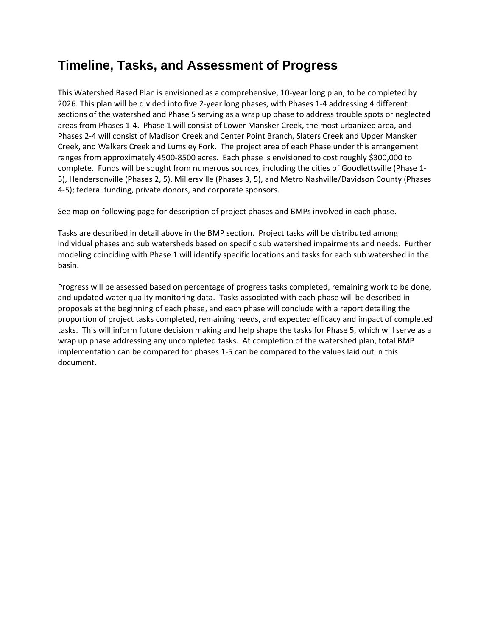### **Timeline, Tasks, and Assessment of Progress**

This Watershed Based Plan is envisioned as a comprehensive, 10‐year long plan, to be completed by 2026. This plan will be divided into five 2‐year long phases, with Phases 1‐4 addressing 4 different sections of the watershed and Phase 5 serving as a wrap up phase to address trouble spots or neglected areas from Phases 1‐4. Phase 1 will consist of Lower Mansker Creek, the most urbanized area, and Phases 2‐4 will consist of Madison Creek and Center Point Branch, Slaters Creek and Upper Mansker Creek, and Walkers Creek and Lumsley Fork. The project area of each Phase under this arrangement ranges from approximately 4500‐8500 acres. Each phase is envisioned to cost roughly \$300,000 to complete. Funds will be sought from numerous sources, including the cities of Goodlettsville (Phase 1‐ 5), Hendersonville (Phases 2, 5), Millersville (Phases 3, 5), and Metro Nashville/Davidson County (Phases 4‐5); federal funding, private donors, and corporate sponsors.

See map on following page for description of project phases and BMPs involved in each phase.

Tasks are described in detail above in the BMP section. Project tasks will be distributed among individual phases and sub watersheds based on specific sub watershed impairments and needs. Further modeling coinciding with Phase 1 will identify specific locations and tasks for each sub watershed in the basin.

Progress will be assessed based on percentage of progress tasks completed, remaining work to be done, and updated water quality monitoring data. Tasks associated with each phase will be described in proposals at the beginning of each phase, and each phase will conclude with a report detailing the proportion of project tasks completed, remaining needs, and expected efficacy and impact of completed tasks. This will inform future decision making and help shape the tasks for Phase 5, which will serve as a wrap up phase addressing any uncompleted tasks. At completion of the watershed plan, total BMP implementation can be compared for phases 1‐5 can be compared to the values laid out in this document.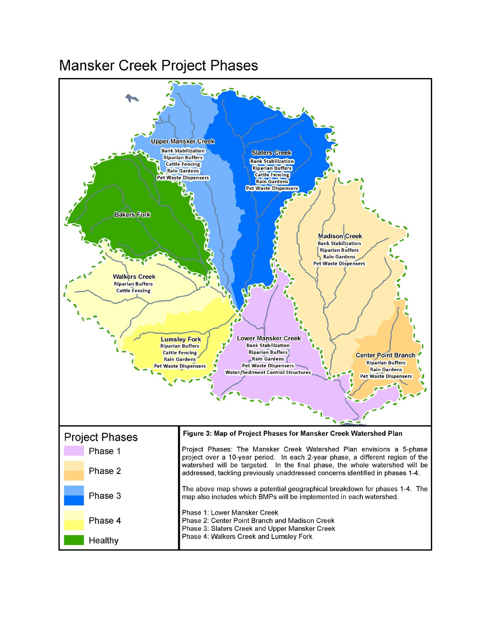# Mansker Creek Project Phases